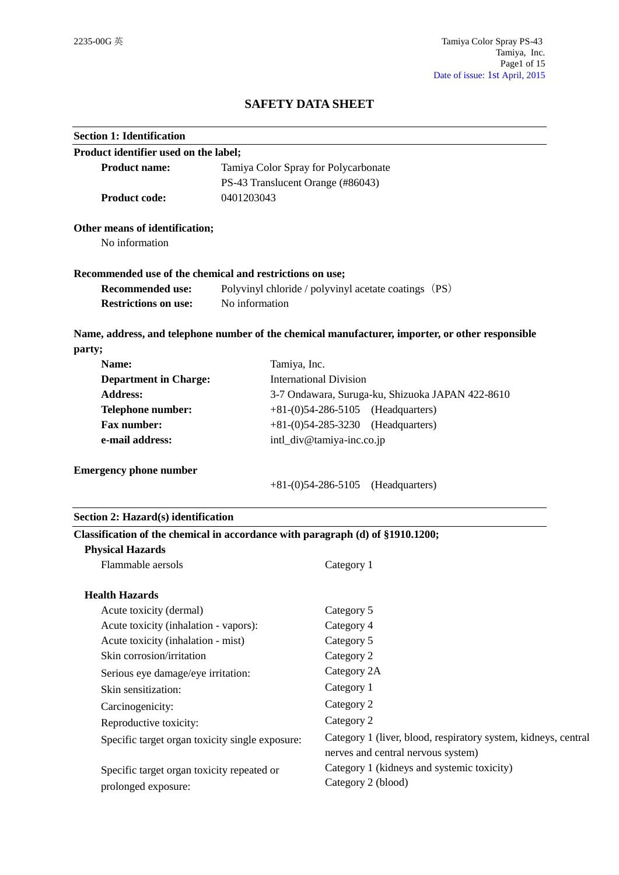# **SAFETY DATA SHEET**

| <b>Section 1: Identification</b>                                                           |                                                      |                                                                                                  |  |
|--------------------------------------------------------------------------------------------|------------------------------------------------------|--------------------------------------------------------------------------------------------------|--|
| Product identifier used on the label;                                                      |                                                      |                                                                                                  |  |
| <b>Product name:</b>                                                                       | Tamiya Color Spray for Polycarbonate                 |                                                                                                  |  |
| PS-43 Translucent Orange (#86043)                                                          |                                                      |                                                                                                  |  |
| <b>Product code:</b>                                                                       | 0401203043                                           |                                                                                                  |  |
| Other means of identification;                                                             |                                                      |                                                                                                  |  |
| No information                                                                             |                                                      |                                                                                                  |  |
| Recommended use of the chemical and restrictions on use;                                   |                                                      |                                                                                                  |  |
| <b>Recommended use:</b>                                                                    | Polyvinyl chloride / polyvinyl acetate coatings (PS) |                                                                                                  |  |
| <b>Restrictions on use:</b>                                                                | No information                                       |                                                                                                  |  |
|                                                                                            |                                                      | Name, address, and telephone number of the chemical manufacturer, importer, or other responsible |  |
| party;                                                                                     |                                                      |                                                                                                  |  |
| Name:                                                                                      | Tamiya, Inc.                                         |                                                                                                  |  |
| <b>Department in Charge:</b>                                                               |                                                      | <b>International Division</b>                                                                    |  |
| <b>Address:</b>                                                                            | 3-7 Ondawara, Suruga-ku, Shizuoka JAPAN 422-8610     |                                                                                                  |  |
| Telephone number:                                                                          | $+81-(0)54-286-5105$ (Headquarters)                  |                                                                                                  |  |
| <b>Fax number:</b><br>$+81-(0)54-285-3230$<br>e-mail address:<br>intl_div@tamiya-inc.co.jp |                                                      | (Headquarters)                                                                                   |  |
|                                                                                            |                                                      |                                                                                                  |  |
| <b>Emergency phone number</b>                                                              |                                                      |                                                                                                  |  |
|                                                                                            |                                                      | $+81-(0)54-286-5105$ (Headquarters)                                                              |  |
| Section 2: Hazard(s) identification                                                        |                                                      |                                                                                                  |  |
| Classification of the chemical in accordance with paragraph (d) of §1910.1200;             |                                                      |                                                                                                  |  |
| <b>Physical Hazards</b>                                                                    |                                                      |                                                                                                  |  |
| Flammable aersols                                                                          |                                                      | Category 1                                                                                       |  |
| <b>Health Hazards</b>                                                                      |                                                      |                                                                                                  |  |
| Acute toxicity (dermal)                                                                    |                                                      | Category 5                                                                                       |  |
| Acute toxicity (inhalation - vapors):                                                      |                                                      | Category 4                                                                                       |  |
| Acute toxicity (inhalation - mist)                                                         |                                                      | Category 5                                                                                       |  |
| Skin corrosion/irritation                                                                  |                                                      | Category 2                                                                                       |  |
| Serious eye damage/eye irritation:                                                         |                                                      | Category 2A                                                                                      |  |
| Skin sensitization:                                                                        |                                                      | Category 1                                                                                       |  |
| Carcinogenicity:                                                                           |                                                      | Category 2                                                                                       |  |
| Reproductive toxicity:                                                                     |                                                      | Category 2                                                                                       |  |
| Specific target organ toxicity single exposure:                                            |                                                      | Category 1 (liver, blood, respiratory system, kidneys, central                                   |  |
|                                                                                            |                                                      | nerves and central nervous system)                                                               |  |
|                                                                                            |                                                      | Category 1 (kidneys and systemic toxicity)                                                       |  |
| Specific target organ toxicity repeated or                                                 |                                                      | Category 2 (blood)                                                                               |  |
| prolonged exposure:                                                                        |                                                      |                                                                                                  |  |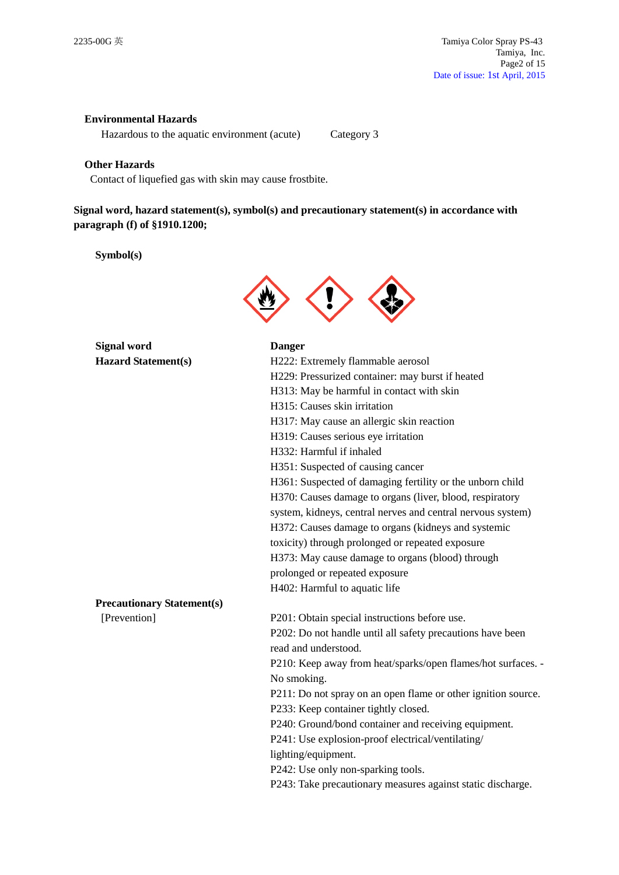## **Environmental Hazards**

Hazardous to the aquatic environment (acute) Category 3

## **Other Hazards**

Contact of liquefied gas with skin may cause frostbite.

**Signal word, hazard statement(s), symbol(s) and precautionary statement(s) in accordance with paragraph (f) of §1910.1200;**

**Symbol(s)**



**Signal word Danger Hazard Statement(s)** 

| <b>Hazard Statement(s)</b>        | H222: Extremely flammable aerosol                             |
|-----------------------------------|---------------------------------------------------------------|
|                                   | H229: Pressurized container: may burst if heated              |
|                                   | H313: May be harmful in contact with skin                     |
|                                   | H315: Causes skin irritation                                  |
|                                   | H317: May cause an allergic skin reaction                     |
|                                   | H319: Causes serious eye irritation                           |
|                                   | H332: Harmful if inhaled                                      |
|                                   | H351: Suspected of causing cancer                             |
|                                   | H361: Suspected of damaging fertility or the unborn child     |
|                                   | H370: Causes damage to organs (liver, blood, respiratory      |
|                                   | system, kidneys, central nerves and central nervous system)   |
|                                   | H372: Causes damage to organs (kidneys and systemic           |
|                                   | toxicity) through prolonged or repeated exposure              |
|                                   | H373: May cause damage to organs (blood) through              |
|                                   | prolonged or repeated exposure                                |
|                                   | H402: Harmful to aquatic life                                 |
| <b>Precautionary Statement(s)</b> |                                                               |
| [Prevention]                      | P201: Obtain special instructions before use.                 |
|                                   | P202: Do not handle until all safety precautions have been    |
|                                   | read and understood.                                          |
|                                   | P210: Keep away from heat/sparks/open flames/hot surfaces. -  |
|                                   | No smoking.                                                   |
|                                   | P211: Do not spray on an open flame or other ignition source. |
|                                   | P233: Keep container tightly closed.                          |
|                                   | P240: Ground/bond container and receiving equipment.          |
|                                   | P241: Use explosion-proof electrical/ventilating/             |
|                                   | lighting/equipment.                                           |
|                                   | P242: Use only non-sparking tools.                            |

P243: Take precautionary measures against static discharge.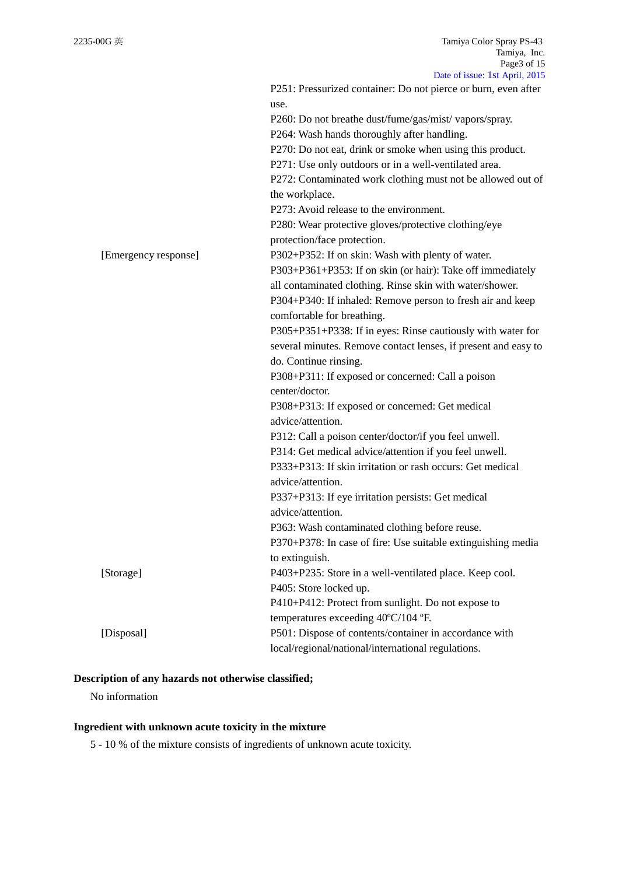|                      | Date of $1880C$ , $18C$ April, $2013$                          |
|----------------------|----------------------------------------------------------------|
|                      | P251: Pressurized container: Do not pierce or burn, even after |
|                      | use.                                                           |
|                      | P260: Do not breathe dust/fume/gas/mist/vapors/spray.          |
|                      | P264: Wash hands thoroughly after handling.                    |
|                      | P270: Do not eat, drink or smoke when using this product.      |
|                      | P271: Use only outdoors or in a well-ventilated area.          |
|                      | P272: Contaminated work clothing must not be allowed out of    |
|                      | the workplace.                                                 |
|                      | P273: Avoid release to the environment.                        |
|                      | P280: Wear protective gloves/protective clothing/eye           |
|                      | protection/face protection.                                    |
| [Emergency response] | P302+P352: If on skin: Wash with plenty of water.              |
|                      | P303+P361+P353: If on skin (or hair): Take off immediately     |
|                      | all contaminated clothing. Rinse skin with water/shower.       |
|                      | P304+P340: If inhaled: Remove person to fresh air and keep     |
|                      | comfortable for breathing.                                     |
|                      | P305+P351+P338: If in eyes: Rinse cautiously with water for    |
|                      | several minutes. Remove contact lenses, if present and easy to |
|                      | do. Continue rinsing.                                          |
|                      | P308+P311: If exposed or concerned: Call a poison              |
|                      | center/doctor.                                                 |
|                      | P308+P313: If exposed or concerned: Get medical                |
|                      | advice/attention.                                              |
|                      | P312: Call a poison center/doctor/if you feel unwell.          |
|                      | P314: Get medical advice/attention if you feel unwell.         |
|                      | P333+P313: If skin irritation or rash occurs: Get medical      |
|                      | advice/attention.                                              |
|                      | P337+P313: If eye irritation persists: Get medical             |
|                      | advice/attention.                                              |
|                      | P363: Wash contaminated clothing before reuse.                 |
|                      | P370+P378: In case of fire: Use suitable extinguishing media   |
|                      | to extinguish.                                                 |
| [Storage]            | P403+P235: Store in a well-ventilated place. Keep cool.        |
|                      | P405: Store locked up.                                         |
|                      | P410+P412: Protect from sunlight. Do not expose to             |
|                      | temperatures exceeding 40°C/104 °F.                            |
| [Disposal]           | P501: Dispose of contents/container in accordance with         |
|                      | local/regional/national/international regulations.             |
|                      |                                                                |

## **Description of any hazards not otherwise classified;**

No information

# **Ingredient with unknown acute toxicity in the mixture**

5 - 10 % of the mixture consists of ingredients of unknown acute toxicity.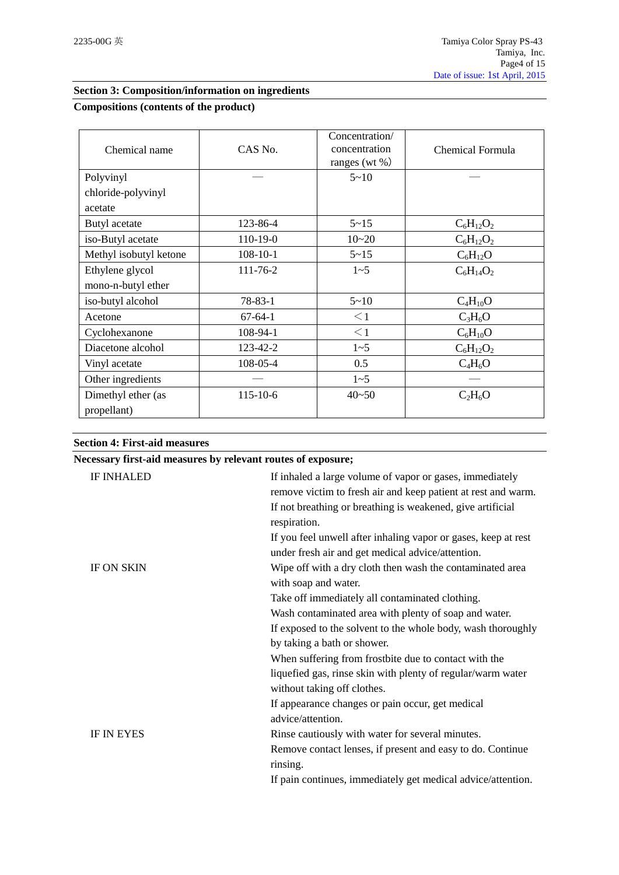# **Section 3: Composition/information on ingredients**

## **Compositions (contents of the product)**

| Chemical name          | CAS No.        | Concentration/<br>concentration<br>ranges (wt $\%$ ) | Chemical Formula |
|------------------------|----------------|------------------------------------------------------|------------------|
| Polyvinyl              |                | $5 - 10$                                             |                  |
| chloride-polyvinyl     |                |                                                      |                  |
| acetate                |                |                                                      |                  |
| Butyl acetate          | 123-86-4       | $5 - 15$                                             | $C_6H_{12}O_2$   |
| iso-Butyl acetate      | 110-19-0       | $10 - 20$                                            | $C_6H_{12}O_2$   |
| Methyl isobutyl ketone | $108 - 10 - 1$ | $5 - 15$                                             | $C_6H_{12}O$     |
| Ethylene glycol        | 111-76-2       | $1 - 5$                                              | $C_6H_{14}O_2$   |
| mono-n-butyl ether     |                |                                                      |                  |
| iso-butyl alcohol      | $78 - 83 - 1$  | $5 - 10$                                             | $C_4H_{10}O$     |
| Acetone                | $67 - 64 - 1$  | $\leq$ 1                                             | $C_3H_6O$        |
| Cyclohexanone          | 108-94-1       | $\leq$ 1                                             | $C_6H_{10}O$     |
| Diacetone alcohol      | 123-42-2       | $1 - 5$                                              | $C_6H_{12}O_2$   |
| Vinyl acetate          | 108-05-4       | 0.5                                                  | $C_4H_6O$        |
| Other ingredients      |                | $1 - 5$                                              |                  |
| Dimethyl ether (as     | 115-10-6       | $40 - 50$                                            | $C_2H_6O$        |
| propellant)            |                |                                                      |                  |

# **Section 4: First-aid measures**

## **Necessary first-aid measures by relevant routes of exposure;**

| <b>IF INHALED</b> | If inhaled a large volume of vapor or gases, immediately<br>remove victim to fresh air and keep patient at rest and warm.<br>If not breathing or breathing is weakened, give artificial<br>respiration. |
|-------------------|---------------------------------------------------------------------------------------------------------------------------------------------------------------------------------------------------------|
|                   | If you feel unwell after inhaling vapor or gases, keep at rest<br>under fresh air and get medical advice/attention.                                                                                     |
| <b>IF ON SKIN</b> | Wipe off with a dry cloth then wash the contaminated area<br>with soap and water.                                                                                                                       |
|                   | Take off immediately all contaminated clothing.                                                                                                                                                         |
|                   | Wash contaminated area with plenty of soap and water.                                                                                                                                                   |
|                   | If exposed to the solvent to the whole body, wash thoroughly                                                                                                                                            |
|                   | by taking a bath or shower.                                                                                                                                                                             |
|                   | When suffering from frostbite due to contact with the                                                                                                                                                   |
|                   | liquefied gas, rinse skin with plenty of regular/warm water                                                                                                                                             |
|                   | without taking off clothes.                                                                                                                                                                             |
|                   | If appearance changes or pain occur, get medical                                                                                                                                                        |
|                   | advice/attention.                                                                                                                                                                                       |
| <b>IF IN EYES</b> | Rinse cautiously with water for several minutes.                                                                                                                                                        |
|                   | Remove contact lenses, if present and easy to do. Continue                                                                                                                                              |
|                   | rinsing.                                                                                                                                                                                                |
|                   | If pain continues, immediately get medical advice/attention.                                                                                                                                            |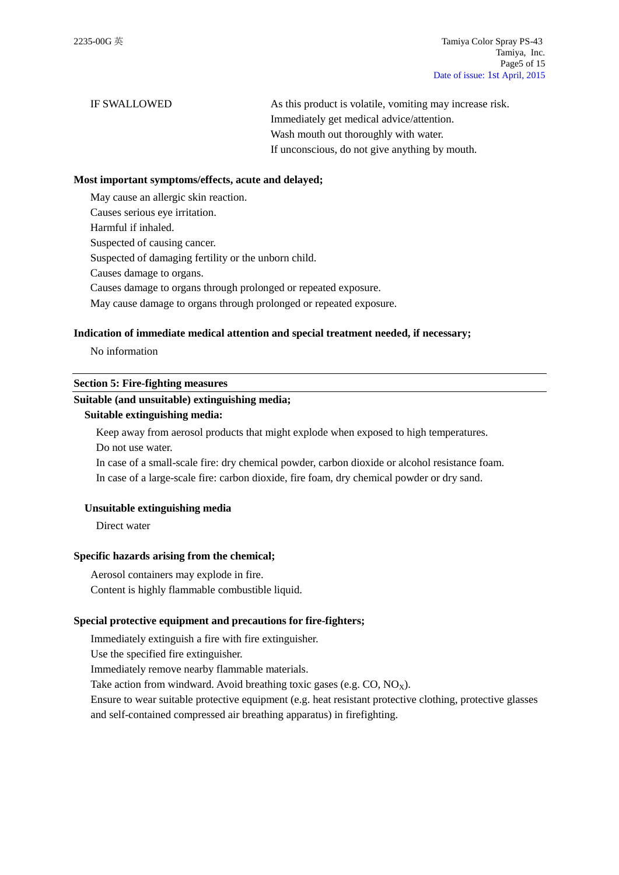IF SWALLOWED As this product is volatile, vomiting may increase risk. Immediately get medical advice/attention. Wash mouth out thoroughly with water. If unconscious, do not give anything by mouth.

#### **Most important symptoms/effects, acute and delayed;**

May cause an allergic skin reaction.

Causes serious eye irritation.

Harmful if inhaled.

Suspected of causing cancer.

Suspected of damaging fertility or the unborn child.

Causes damage to organs.

Causes damage to organs through prolonged or repeated exposure.

May cause damage to organs through prolonged or repeated exposure.

### **Indication of immediate medical attention and special treatment needed, if necessary;**

No information

## **Section 5: Fire-fighting measures**

## **Suitable (and unsuitable) extinguishing media;**

## **Suitable extinguishing media:**

Keep away from aerosol products that might explode when exposed to high temperatures. Do not use water.

In case of a small-scale fire: dry chemical powder, carbon dioxide or alcohol resistance foam. In case of a large-scale fire: carbon dioxide, fire foam, dry chemical powder or dry sand.

#### **Unsuitable extinguishing media**

Direct water

#### **Specific hazards arising from the chemical;**

Aerosol containers may explode in fire. Content is highly flammable combustible liquid.

## **Special protective equipment and precautions for fire-fighters;**

Immediately extinguish a fire with fire extinguisher.

Use the specified fire extinguisher.

Immediately remove nearby flammable materials.

Take action from windward. Avoid breathing toxic gases (e.g.  $CO$ ,  $NO<sub>x</sub>$ ).

Ensure to wear suitable protective equipment (e.g. heat resistant protective clothing, protective glasses and self-contained compressed air breathing apparatus) in firefighting.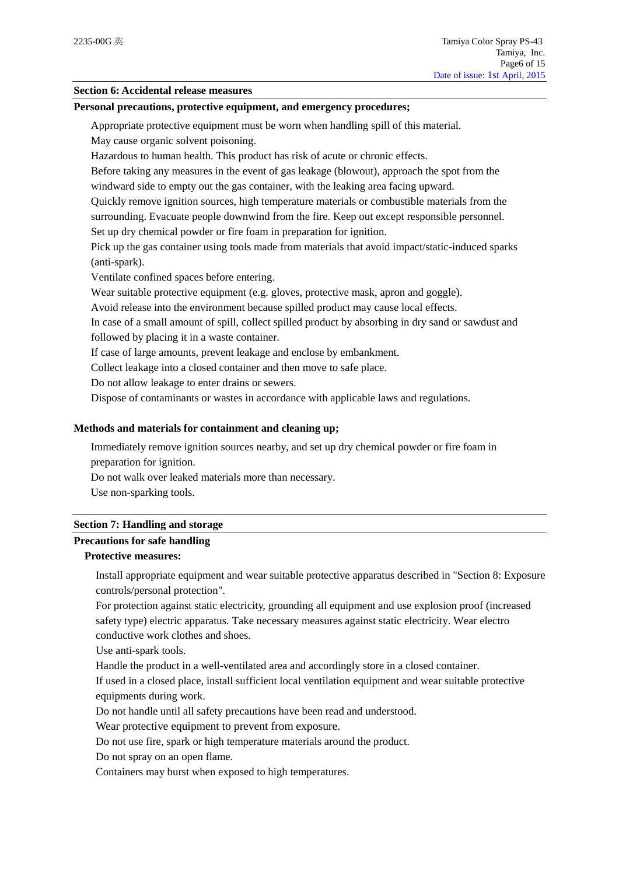## **Section 6: Accidental release measures**

## **Personal precautions, protective equipment, and emergency procedures;**

Appropriate protective equipment must be worn when handling spill of this material.

May cause organic solvent poisoning.

Hazardous to human health. This product has risk of acute or chronic effects.

Before taking any measures in the event of gas leakage (blowout), approach the spot from the windward side to empty out the gas container, with the leaking area facing upward.

Quickly remove ignition sources, high temperature materials or combustible materials from the surrounding. Evacuate people downwind from the fire. Keep out except responsible personnel.

Set up dry chemical powder or fire foam in preparation for ignition.

Pick up the gas container using tools made from materials that avoid impact/static-induced sparks (anti-spark).

Ventilate confined spaces before entering.

Wear suitable protective equipment (e.g. gloves, protective mask, apron and goggle).

Avoid release into the environment because spilled product may cause local effects.

In case of a small amount of spill, collect spilled product by absorbing in dry sand or sawdust and followed by placing it in a waste container.

If case of large amounts, prevent leakage and enclose by embankment.

Collect leakage into a closed container and then move to safe place.

Do not allow leakage to enter drains or sewers.

Dispose of contaminants or wastes in accordance with applicable laws and regulations.

## **Methods and materials for containment and cleaning up;**

Immediately remove ignition sources nearby, and set up dry chemical powder or fire foam in preparation for ignition.

Do not walk over leaked materials more than necessary.

Use non-sparking tools.

#### **Section 7: Handling and storage**

# **Precautions for safe handling**

# **Protective measures:**

Install appropriate equipment and wear suitable protective apparatus described in "Section 8: Exposure controls/personal protection".

For protection against static electricity, grounding all equipment and use explosion proof (increased safety type) electric apparatus. Take necessary measures against static electricity. Wear electro conductive work clothes and shoes.

Use anti-spark tools.

Handle the product in a well-ventilated area and accordingly store in a closed container.

If used in a closed place, install sufficient local ventilation equipment and wear suitable protective equipments during work.

Do not handle until all safety precautions have been read and understood.

Wear protective equipment to prevent from exposure.

Do not use fire, spark or high temperature materials around the product.

Do not spray on an open flame.

Containers may burst when exposed to high temperatures.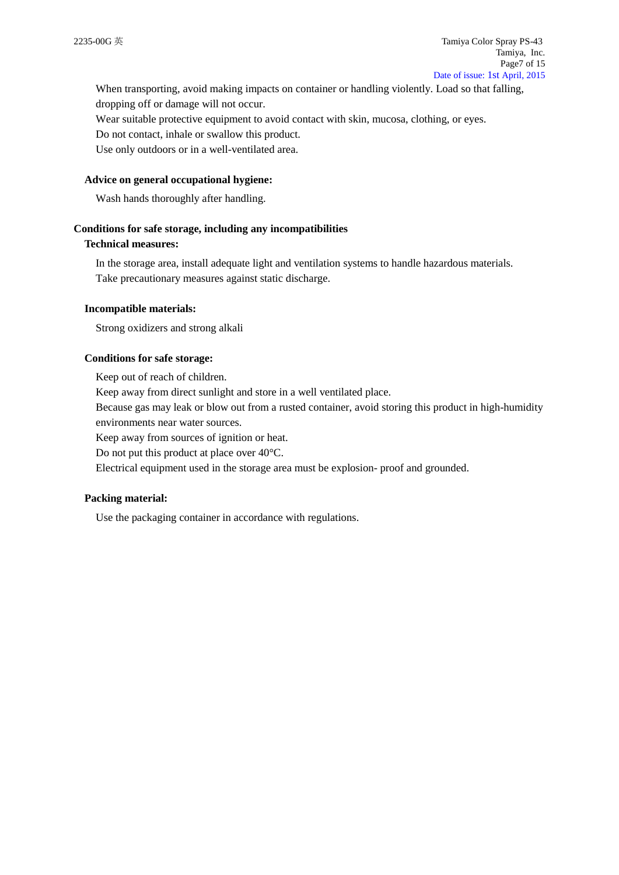When transporting, avoid making impacts on container or handling violently. Load so that falling, dropping off or damage will not occur.

Wear suitable protective equipment to avoid contact with skin, mucosa, clothing, or eyes.

Do not contact, inhale or swallow this product.

Use only outdoors or in a well-ventilated area.

#### **Advice on general occupational hygiene:**

Wash hands thoroughly after handling.

#### **Conditions for safe storage, including any incompatibilities**

## **Technical measures:**

In the storage area, install adequate light and ventilation systems to handle hazardous materials. Take precautionary measures against static discharge.

#### **Incompatible materials:**

Strong oxidizers and strong alkali

#### **Conditions for safe storage:**

Keep out of reach of children.

Keep away from direct sunlight and store in a well ventilated place.

Because gas may leak or blow out from a rusted container, avoid storing this product in high-humidity environments near water sources.

Keep away from sources of ignition or heat.

Do not put this product at place over 40°C.

Electrical equipment used in the storage area must be explosion- proof and grounded.

#### **Packing material:**

Use the packaging container in accordance with regulations.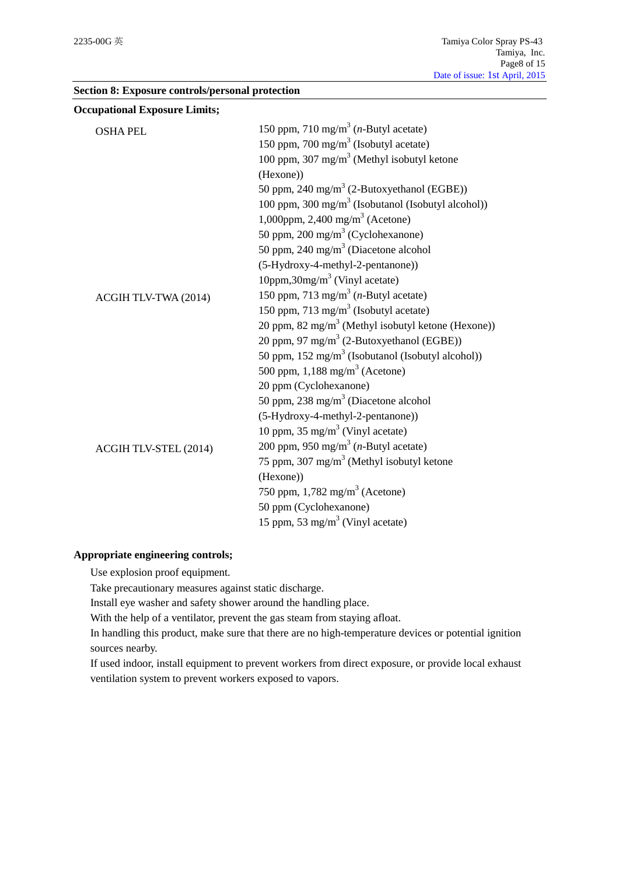| <b>Section 8: Exposure controls/personal protection</b> |  |  |  |  |
|---------------------------------------------------------|--|--|--|--|
|---------------------------------------------------------|--|--|--|--|

| <b>Occupational Exposure Limits;</b> |                                                                |
|--------------------------------------|----------------------------------------------------------------|
| <b>OSHA PEL</b>                      | 150 ppm, 710 mg/m <sup>3</sup> ( <i>n</i> -Butyl acetate)      |
|                                      | 150 ppm, 700 mg/m <sup>3</sup> (Isobutyl acetate)              |
|                                      | 100 ppm, 307 mg/m <sup>3</sup> (Methyl isobutyl ketone         |
|                                      | (Hexone))                                                      |
|                                      | 50 ppm, 240 mg/m <sup>3</sup> (2-Butoxyethanol (EGBE))         |
|                                      | 100 ppm, 300 mg/m <sup>3</sup> (Isobutanol (Isobutyl alcohol)) |
|                                      | 1,000ppm, 2,400 mg/m <sup>3</sup> (Acetone)                    |
|                                      | 50 ppm, 200 mg/m <sup>3</sup> (Cyclohexanone)                  |
|                                      | 50 ppm, 240 mg/m <sup>3</sup> (Diacetone alcohol               |
|                                      | (5-Hydroxy-4-methyl-2-pentanone))                              |
|                                      | 10ppm,30mg/m <sup>3</sup> (Vinyl acetate)                      |
| ACGIH TLV-TWA (2014)                 | 150 ppm, 713 mg/m <sup>3</sup> ( <i>n</i> -Butyl acetate)      |
|                                      | 150 ppm, 713 mg/m <sup>3</sup> (Isobutyl acetate)              |
|                                      | 20 ppm, 82 mg/m <sup>3</sup> (Methyl isobutyl ketone (Hexone)) |
|                                      | 20 ppm, 97 mg/m <sup>3</sup> (2-Butoxyethanol (EGBE))          |
|                                      | 50 ppm, $152 \text{ mg/m}^3$ (Isobutanol (Isobutyl alcohol))   |
|                                      | 500 ppm, $1,188$ mg/m <sup>3</sup> (Acetone)                   |
|                                      | 20 ppm (Cyclohexanone)                                         |
|                                      | 50 ppm, 238 mg/m <sup>3</sup> (Diacetone alcohol               |
|                                      | (5-Hydroxy-4-methyl-2-pentanone))                              |
|                                      | 10 ppm, 35 mg/m <sup>3</sup> (Vinyl acetate)                   |
| ACGIH TLV-STEL (2014)                | 200 ppm, 950 mg/m <sup>3</sup> ( <i>n</i> -Butyl acetate)      |
|                                      | 75 ppm, 307 mg/m <sup>3</sup> (Methyl isobutyl ketone          |
|                                      | (Hexone))                                                      |
|                                      | 750 ppm, $1,782$ mg/m <sup>3</sup> (Acetone)                   |
|                                      | 50 ppm (Cyclohexanone)                                         |
|                                      | 15 ppm, 53 mg/m <sup>3</sup> (Vinyl acetate)                   |
|                                      |                                                                |

# **Appropriate engineering controls;**

Use explosion proof equipment.

Take precautionary measures against static discharge.

Install eye washer and safety shower around the handling place.

With the help of a ventilator, prevent the gas steam from staying afloat.

In handling this product, make sure that there are no high-temperature devices or potential ignition sources nearby.

If used indoor, install equipment to prevent workers from direct exposure, or provide local exhaust ventilation system to prevent workers exposed to vapors.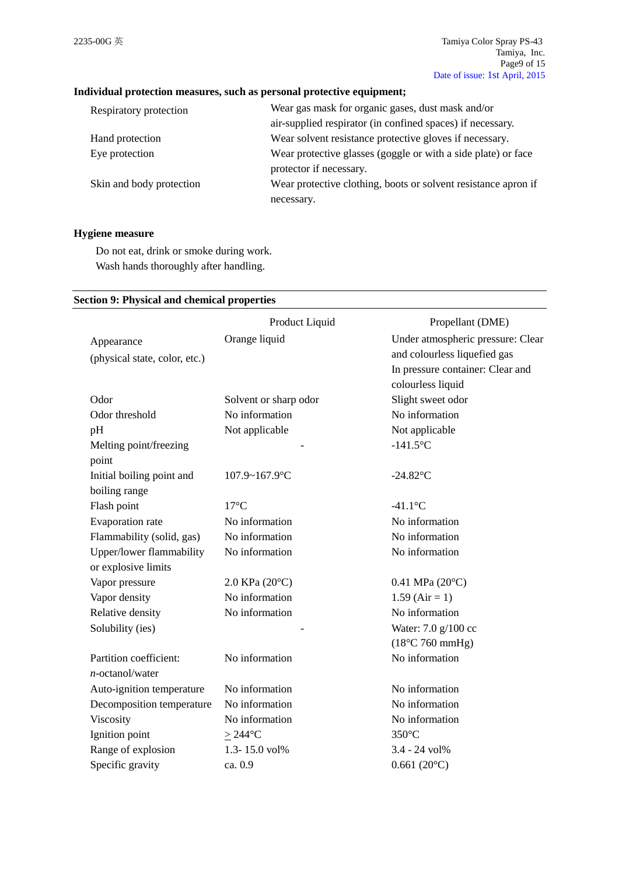# **Individual protection measures, such as personal protective equipment;**

| Respiratory protection   | Wear gas mask for organic gases, dust mask and/or              |
|--------------------------|----------------------------------------------------------------|
|                          | air-supplied respirator (in confined spaces) if necessary.     |
| Hand protection          | Wear solvent resistance protective gloves if necessary.        |
| Eye protection           | Wear protective glasses (goggle or with a side plate) or face  |
|                          | protector if necessary.                                        |
| Skin and body protection | Wear protective clothing, boots or solvent resistance apron if |
|                          | necessary.                                                     |

## **Hygiene measure**

Do not eat, drink or smoke during work. Wash hands thoroughly after handling.

## **Section 9: Physical and chemical properties**

|                               | Product Liquid        | Propellant (DME)                  |
|-------------------------------|-----------------------|-----------------------------------|
| Appearance                    | Orange liquid         | Under atmospheric pressure: Clear |
| (physical state, color, etc.) |                       | and colourless liquefied gas      |
|                               |                       | In pressure container: Clear and  |
|                               |                       | colourless liquid                 |
| Odor                          | Solvent or sharp odor | Slight sweet odor                 |
| Odor threshold                | No information        | No information                    |
| pH                            | Not applicable        | Not applicable                    |
| Melting point/freezing        |                       | $-141.5$ °C                       |
| point                         |                       |                                   |
| Initial boiling point and     | 107.9~167.9°C         | $-24.82$ °C                       |
| boiling range                 |                       |                                   |
| Flash point                   | $17^{\circ}$ C        | $-41.1$ °C                        |
| Evaporation rate              | No information        | No information                    |
| Flammability (solid, gas)     | No information        | No information                    |
| Upper/lower flammability      | No information        | No information                    |
| or explosive limits           |                       |                                   |
| Vapor pressure                | 2.0 KPa (20°C)        | $0.41$ MPa $(20^{\circ}C)$        |
| Vapor density                 | No information        | $1.59$ (Air = 1)                  |
| Relative density              | No information        | No information                    |
| Solubility (ies)              |                       | Water: 7.0 g/100 cc               |
|                               |                       | $(18^{\circ}$ C 760 mmHg)         |
| Partition coefficient:        | No information        | No information                    |
| $n$ -octanol/water            |                       |                                   |
| Auto-ignition temperature     | No information        | No information                    |
| Decomposition temperature     | No information        | No information                    |
| Viscosity                     | No information        | No information                    |
| Ignition point                | $>244^{\circ}$ C      | $350^{\circ}$ C                   |
| Range of explosion            | 1.3-15.0 vol%         | 3.4 - 24 vol%                     |
| Specific gravity              | ca. 0.9               | $0.661(20^{\circ}C)$              |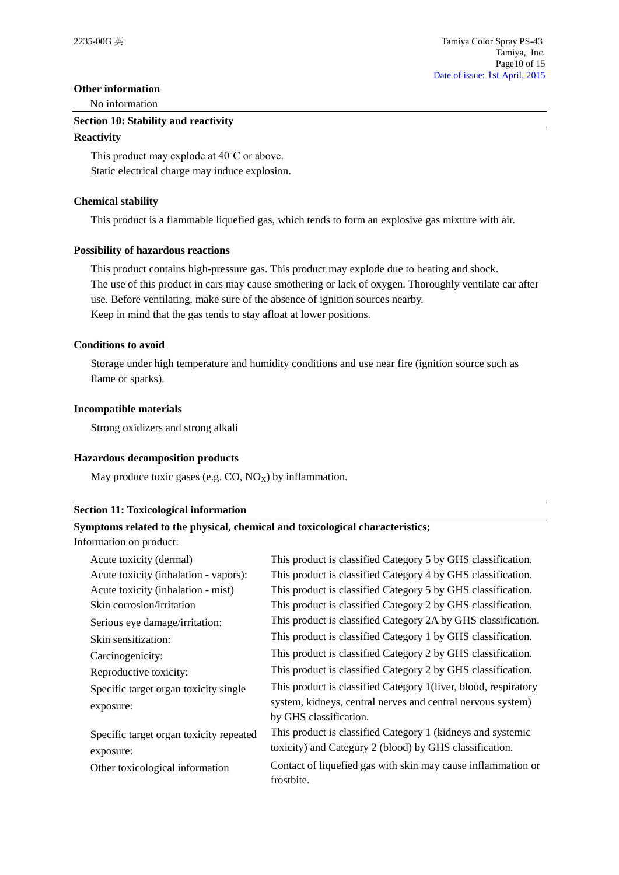## **Other information**

No information

#### **Section 10: Stability and reactivity**

#### **Reactivity**

This product may explode at 40˚C or above. Static electrical charge may induce explosion.

## **Chemical stability**

This product is a flammable liquefied gas, which tends to form an explosive gas mixture with air.

## **Possibility of hazardous reactions**

This product contains high-pressure gas. This product may explode due to heating and shock. The use of this product in cars may cause smothering or lack of oxygen. Thoroughly ventilate car after use. Before ventilating, make sure of the absence of ignition sources nearby. Keep in mind that the gas tends to stay afloat at lower positions.

## **Conditions to avoid**

Storage under high temperature and humidity conditions and use near fire (ignition source such as flame or sparks).

## **Incompatible materials**

Strong oxidizers and strong alkali

## **Hazardous decomposition products**

May produce toxic gases (e.g.  $CO$ ,  $NO_X$ ) by inflammation.

## **Section 11: Toxicological information**

## **Symptoms related to the physical, chemical and toxicological characteristics;**

Information on product:

| Acute toxicity (dermal)                 | This product is classified Category 5 by GHS classification.     |
|-----------------------------------------|------------------------------------------------------------------|
| Acute toxicity (inhalation - vapors):   | This product is classified Category 4 by GHS classification.     |
| Acute toxicity (inhalation - mist)      | This product is classified Category 5 by GHS classification.     |
| Skin corrosion/irritation               | This product is classified Category 2 by GHS classification.     |
| Serious eye damage/irritation:          | This product is classified Category 2A by GHS classification.    |
| Skin sensitization:                     | This product is classified Category 1 by GHS classification.     |
| Carcinogenicity:                        | This product is classified Category 2 by GHS classification.     |
| Reproductive toxicity:                  | This product is classified Category 2 by GHS classification.     |
| Specific target organ toxicity single   | This product is classified Category 1 (liver, blood, respiratory |
| exposure:                               | system, kidneys, central nerves and central nervous system)      |
|                                         | by GHS classification.                                           |
| Specific target organ toxicity repeated | This product is classified Category 1 (kidneys and systemic      |
| exposure:                               | toxicity) and Category 2 (blood) by GHS classification.          |
| Other toxicological information         | Contact of liquefied gas with skin may cause inflammation or     |
|                                         | frostbite.                                                       |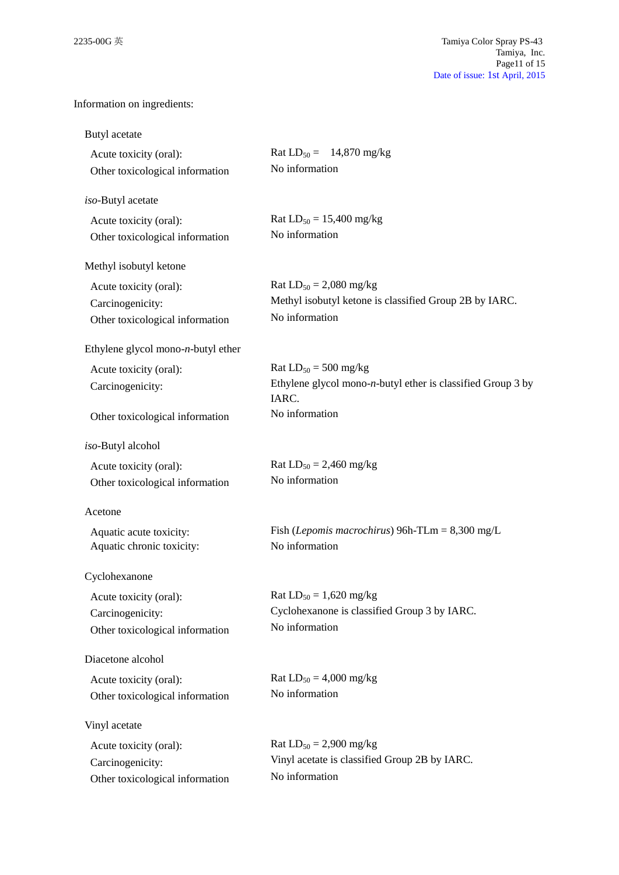# Information on ingredients:

| Acute toxicity (oral):<br>Other toxicological information                     | Rat $LD_{50} = 14,870$ mg/kg<br>No information                                                          |
|-------------------------------------------------------------------------------|---------------------------------------------------------------------------------------------------------|
| iso-Butyl acetate                                                             |                                                                                                         |
| Acute toxicity (oral):<br>Other toxicological information                     | Rat $LD_{50} = 15,400$ mg/kg<br>No information                                                          |
| Methyl isobutyl ketone                                                        |                                                                                                         |
| Acute toxicity (oral):<br>Carcinogenicity:<br>Other toxicological information | Rat $LD_{50} = 2,080$ mg/kg<br>Methyl isobutyl ketone is classified Group 2B by IARC.<br>No information |
| Ethylene glycol mono- $n$ -butyl ether                                        |                                                                                                         |
| Acute toxicity (oral):<br>Carcinogenicity:                                    | Rat $LD_{50} = 500$ mg/kg<br>Ethylene glycol mono- $n$ -butyl ether is classified Group 3 by<br>IARC.   |
| Other toxicological information                                               | No information                                                                                          |
| iso-Butyl alcohol                                                             |                                                                                                         |
| Acute toxicity (oral):<br>Other toxicological information                     | Rat $LD_{50} = 2,460$ mg/kg<br>No information                                                           |
| Acetone                                                                       |                                                                                                         |
| Aquatic acute toxicity:<br>Aquatic chronic toxicity:                          | Fish (Lepomis macrochirus) 96h-TLm = $8,300$ mg/L<br>No information                                     |
| Cyclohexanone                                                                 |                                                                                                         |
| Acute toxicity (oral):<br>Carcinogenicity:<br>Other toxicological information | Rat $LD_{50} = 1,620$ mg/kg<br>Cyclohexanone is classified Group 3 by IARC.<br>No information           |
| Diacetone alcohol                                                             |                                                                                                         |
| Acute toxicity (oral):<br>Other toxicological information                     | Rat $LD_{50} = 4,000$ mg/kg<br>No information                                                           |
| Vinyl acetate                                                                 |                                                                                                         |
| Acute toxicity (oral):<br>Carcinogenicity:<br>Other toxicological information | Rat $LD_{50} = 2,900$ mg/kg<br>Vinyl acetate is classified Group 2B by IARC.<br>No information          |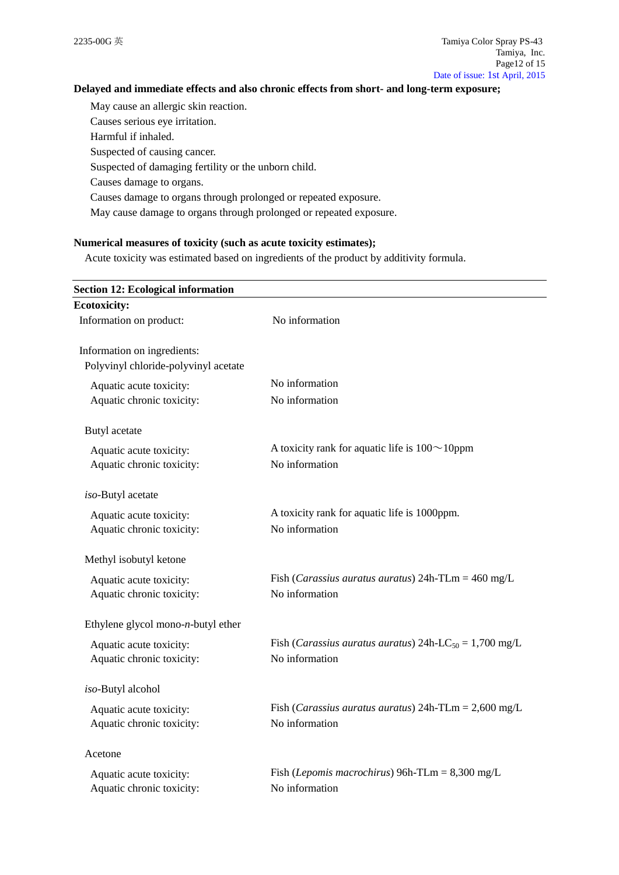## **Delayed and immediate effects and also chronic effects from short- and long-term exposure;**

May cause an allergic skin reaction. Causes serious eye irritation. Harmful if inhaled. Suspected of causing cancer.

Suspected of damaging fertility or the unborn child.

Causes damage to organs.

Causes damage to organs through prolonged or repeated exposure.

May cause damage to organs through prolonged or repeated exposure.

## **Numerical measures of toxicity (such as acute toxicity estimates);**

Acute toxicity was estimated based on ingredients of the product by additivity formula.

| <b>Section 12: Ecological information</b> |                                                                             |
|-------------------------------------------|-----------------------------------------------------------------------------|
| <b>Ecotoxicity:</b>                       |                                                                             |
| Information on product:                   | No information                                                              |
| Information on ingredients:               |                                                                             |
| Polyvinyl chloride-polyvinyl acetate      |                                                                             |
| Aquatic acute toxicity:                   | No information                                                              |
| Aquatic chronic toxicity:                 | No information                                                              |
| Butyl acetate                             |                                                                             |
| Aquatic acute toxicity:                   | A toxicity rank for aquatic life is $100 \sim 10$ ppm                       |
| Aquatic chronic toxicity:                 | No information                                                              |
| iso-Butyl acetate                         |                                                                             |
| Aquatic acute toxicity:                   | A toxicity rank for aquatic life is 1000ppm.                                |
| Aquatic chronic toxicity:                 | No information                                                              |
| Methyl isobutyl ketone                    |                                                                             |
| Aquatic acute toxicity:                   | Fish ( <i>Carassius auratus auratus</i> ) $24h$ -TLm = $460$ mg/L           |
| Aquatic chronic toxicity:                 | No information                                                              |
| Ethylene glycol mono- $n$ -butyl ether    |                                                                             |
| Aquatic acute toxicity:                   | Fish ( <i>Carassius auratus auratus</i> ) 24h-LC <sub>50</sub> = 1,700 mg/L |
| Aquatic chronic toxicity:                 | No information                                                              |
| iso-Butyl alcohol                         |                                                                             |
| Aquatic acute toxicity:                   | Fish ( <i>Carassius auratus auratus</i> ) $24h$ -TLm = $2,600$ mg/L         |
| Aquatic chronic toxicity:                 | No information                                                              |
| Acetone                                   |                                                                             |
| Aquatic acute toxicity:                   | Fish ( <i>Lepomis macrochirus</i> ) 96h-TLm = $8,300$ mg/L                  |
| Aquatic chronic toxicity:                 | No information                                                              |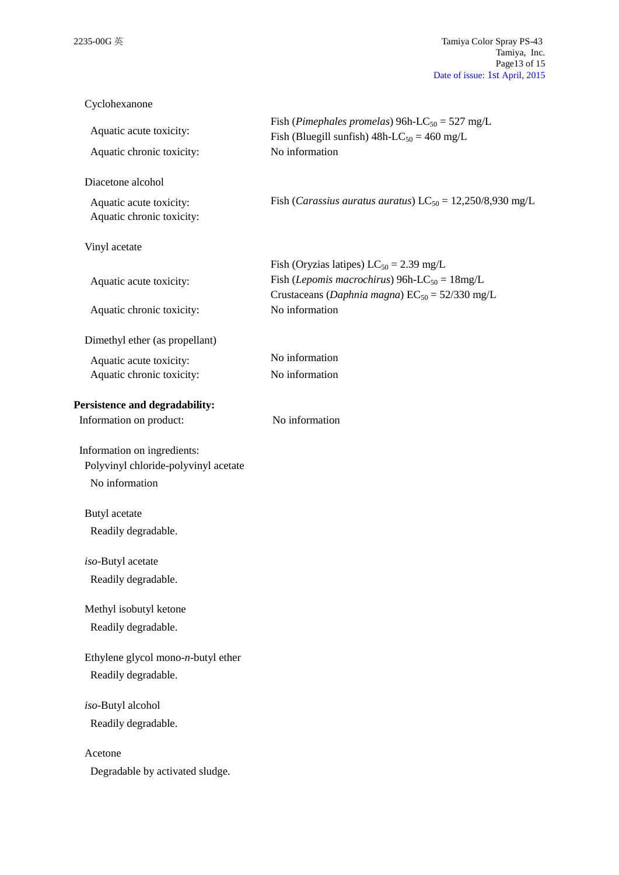| Cyclohexanone                                                       |                                                                                                                                            |
|---------------------------------------------------------------------|--------------------------------------------------------------------------------------------------------------------------------------------|
| Aquatic acute toxicity:<br>Aquatic chronic toxicity:                | Fish (Pimephales promelas) 96h-LC <sub>50</sub> = 527 mg/L<br>Fish (Bluegill sunfish) $48h$ -LC <sub>50</sub> = 460 mg/L<br>No information |
| Diacetone alcohol                                                   |                                                                                                                                            |
| Aquatic acute toxicity:<br>Aquatic chronic toxicity:                | Fish ( <i>Carassius auratus auratus</i> ) $LC_{50} = 12,250/8,930$ mg/L                                                                    |
| Vinyl acetate                                                       |                                                                                                                                            |
|                                                                     | Fish (Oryzias latipes) $LC_{50} = 2.39$ mg/L                                                                                               |
| Aquatic acute toxicity:                                             | Fish ( <i>Lepomis macrochirus</i> ) 96h-LC <sub>50</sub> = $18mg/L$<br>Crustaceans (Daphnia magna) $EC_{50} = 52/330$ mg/L                 |
| Aquatic chronic toxicity:                                           | No information                                                                                                                             |
| Dimethyl ether (as propellant)                                      |                                                                                                                                            |
| Aquatic acute toxicity:                                             | No information                                                                                                                             |
| Aquatic chronic toxicity:                                           | No information                                                                                                                             |
| Persistence and degradability:                                      |                                                                                                                                            |
| Information on product:                                             | No information                                                                                                                             |
| Information on ingredients:<br>Polyvinyl chloride-polyvinyl acetate |                                                                                                                                            |
| No information                                                      |                                                                                                                                            |
| Butyl acetate                                                       |                                                                                                                                            |
| Readily degradable.                                                 |                                                                                                                                            |
| iso-Butyl acetate                                                   |                                                                                                                                            |
| Readily degradable.                                                 |                                                                                                                                            |
| Methyl isobutyl ketone                                              |                                                                                                                                            |
| Readily degradable.                                                 |                                                                                                                                            |
| Ethylene glycol mono- $n$ -butyl ether                              |                                                                                                                                            |
| Readily degradable.                                                 |                                                                                                                                            |
| iso-Butyl alcohol                                                   |                                                                                                                                            |
| Readily degradable.                                                 |                                                                                                                                            |
| Acetone                                                             |                                                                                                                                            |
| Degradable by activated sludge.                                     |                                                                                                                                            |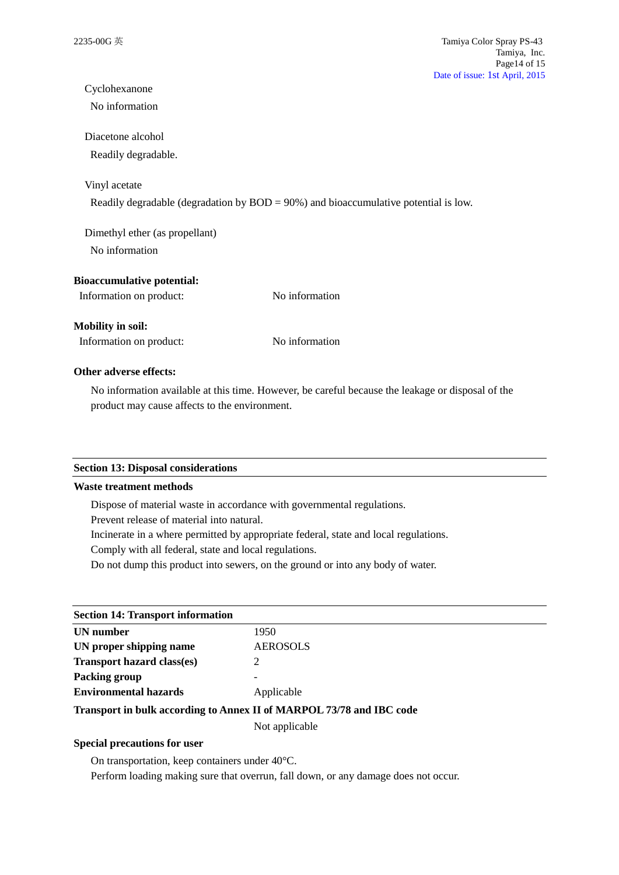# Cyclohexanone

No information

## Diacetone alcohol

Readily degradable.

## Vinyl acetate

Readily degradable (degradation by BOD = 90%) and bioaccumulative potential is low.

Dimethyl ether (as propellant) No information

## **Bioaccumulative potential:**

| Information on product: | No information |
|-------------------------|----------------|
|-------------------------|----------------|

## **Mobility in soil:**

Information on product: No information

## **Other adverse effects:**

No information available at this time. However, be careful because the leakage or disposal of the product may cause affects to the environment.

## **Section 13: Disposal considerations**

## **Waste treatment methods**

Dispose of material waste in accordance with governmental regulations.

Prevent release of material into natural.

Incinerate in a where permitted by appropriate federal, state and local regulations.

Comply with all federal, state and local regulations.

Do not dump this product into sewers, on the ground or into any body of water.

| <b>Section 14: Transport information</b> |                                                                      |
|------------------------------------------|----------------------------------------------------------------------|
| UN number                                | 1950                                                                 |
| UN proper shipping name                  | <b>AEROSOLS</b>                                                      |
| <b>Transport hazard class(es)</b>        |                                                                      |
| Packing group                            |                                                                      |
| <b>Environmental hazards</b>             | Applicable                                                           |
|                                          | Transport in bulk according to Annex II of MARPOL 73/78 and IBC code |
|                                          | Not applicable                                                       |

## **Special precautions for user**

On transportation, keep containers under 40°C.

Perform loading making sure that overrun, fall down, or any damage does not occur.